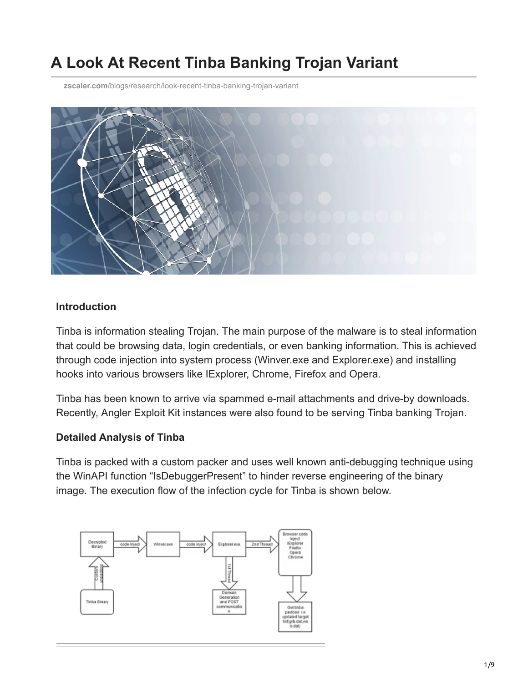# **A Look At Recent Tinba Banking Trojan Variant**

**zscaler.com**[/blogs/research/look-recent-tinba-banking-trojan-variant](https://www.zscaler.com/blogs/research/look-recent-tinba-banking-trojan-variant)



#### **Introduction**

Tinba is information stealing Trojan. The main purpose of the malware is to steal information that could be browsing data, login credentials, or even banking information. This is achieved through code injection into system process (Winver.exe and Explorer.exe) and installing hooks into various browsers like IExplorer, Chrome, Firefox and Opera.

Tinba has been known to arrive via spammed e-mail attachments and drive-by downloads. Recently, Angler Exploit Kit instances were also found to be serving Tinba banking Trojan.

#### **Detailed Analysis of Tinba**

Tinba is packed with a custom packer and uses well known anti-debugging technique using the WinAPI function "IsDebuggerPresent" to hinder reverse engineering of the binary image. The execution flow of the infection cycle for Tinba is shown below.

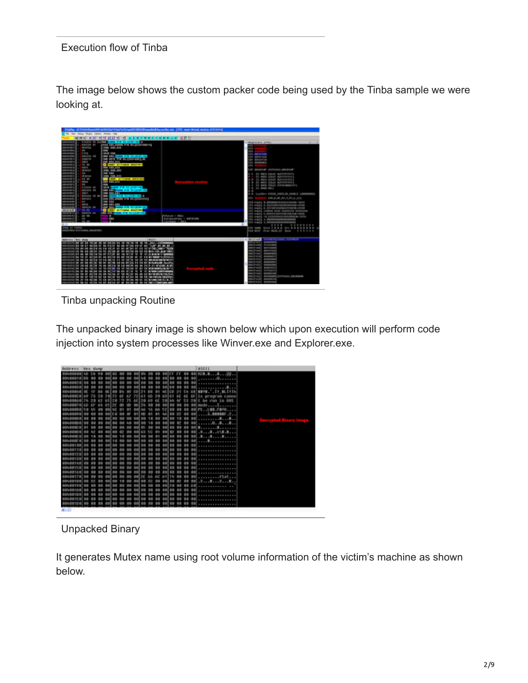#### Execution flow of Tinba

The image below shows the custom packer code being used by the Tinba sample we were looking at.

| lisüks. at 15444 Kunitö 14344 list törtelist sistema tol 1815 alkana hialliseen olis em. 1574. mais suusi, maduk eli 15444 (j                                                                                                                                                                                                                                                                                                                                                                                                                                                                                                                                                                                                                                                                                                                                                                                                                                                                                                                                                                                                                                                                                                                                                                                                                                                                                                                                                                                                                                         |                                                                                                                                                          |                                                                                                                                                                                                                                                                                                                                                                                                                                                                                                                                                                              |
|-----------------------------------------------------------------------------------------------------------------------------------------------------------------------------------------------------------------------------------------------------------------------------------------------------------------------------------------------------------------------------------------------------------------------------------------------------------------------------------------------------------------------------------------------------------------------------------------------------------------------------------------------------------------------------------------------------------------------------------------------------------------------------------------------------------------------------------------------------------------------------------------------------------------------------------------------------------------------------------------------------------------------------------------------------------------------------------------------------------------------------------------------------------------------------------------------------------------------------------------------------------------------------------------------------------------------------------------------------------------------------------------------------------------------------------------------------------------------------------------------------------------------------------------------------------------------|----------------------------------------------------------------------------------------------------------------------------------------------------------|------------------------------------------------------------------------------------------------------------------------------------------------------------------------------------------------------------------------------------------------------------------------------------------------------------------------------------------------------------------------------------------------------------------------------------------------------------------------------------------------------------------------------------------------------------------------------|
| The Vern Delive Phopin Californi Mindles 1949                                                                                                                                                                                                                                                                                                                                                                                                                                                                                                                                                                                                                                                                                                                                                                                                                                                                                                                                                                                                                                                                                                                                                                                                                                                                                                                                                                                                                                                                                                                         |                                                                                                                                                          |                                                                                                                                                                                                                                                                                                                                                                                                                                                                                                                                                                              |
| <b>FRIDAY REPORT OF A REPORT OF A REPORT OF A REPORT</b><br>$-46.81$                                                                                                                                                                                                                                                                                                                                                                                                                                                                                                                                                                                                                                                                                                                                                                                                                                                                                                                                                                                                                                                                                                                                                                                                                                                                                                                                                                                                                                                                                                  |                                                                                                                                                          |                                                                                                                                                                                                                                                                                                                                                                                                                                                                                                                                                                              |
| <b>LESSES</b><br><b>CONSIDERED AND ARRAIGNMENT OF THE SECOND CASE.</b><br>FOTA: 481-94009 # 16 91-114 EXHEAD+13<br><b>LESSE</b><br><b>ABSCAR 49</b><br><b>JHM CAL.FLI</b><br>August 2004<br><b>MARCA</b><br>LEESS<br><b>WHEN</b><br>0949<br>41014<br>644994<br><b>SAIN CAN</b><br><b>See East County Pin Short Stores</b><br><b>Lot 6 mm</b><br>00104174-108<br><b><i>LEERS</i></b><br><b>SOR BRIDGETH PUTFOLIO FEEDING</b><br><b>SIMMY</b> VE<br>basic d<br>OWN BES EST<br><b>August</b> ia<br><b>CONTE ANTIAGAS ENVIRONMENT</b><br>LESSIE<br>19.00<br><b>LEEMS</b><br><b>ABIT II</b><br>1001144-446<br><b>NEEDELA</b><br><b>AFAILI</b><br>THE CAL 23-7<br>useris<br><b>Suite</b><br><b>DE ENT</b><br><b>LESSES</b><br><b>AFTRACIA</b><br><b>DIRK EWE, FST</b><br><b>CONTRACT AT PERINA DESIGNATI</b><br><b>NAMES</b><br><b>ART 800</b><br><b>CONTRACTOR</b><br><b>ABICA</b><br>444.991<br>NAME<br><b>GAM</b><br><b>SHE</b><br><b>ESSE SHOWS FOR SALEINFORD</b><br><b>NATION</b><br>e parma ma<br><b>Box 1779-comp #18 Student-Tel</b><br><b>LESSES</b><br><b>BENEDA RA</b><br><b>THE ENGINEER</b><br>NAMES<br><b>Jack E</b><br><b>BOD PLAND FOR ST. 1970-1981</b><br><b>ROWADA DA 40</b><br>LEEDER<br><b>CEN EDG AVAILS P.IN BS (ELGANDS)</b><br><b>Address</b><br>001031<br><b>Automatic</b><br><b>SILLER</b><br><b>DMC 803</b><br><b>BOILE</b><br><b>MOD 131, EST</b><br>Notes<br>any this years will discuss the<br>38/6/24 24<br>NEEDO<br>10.414.00<br>A CHART ATLTS AGAIN, SEASTERED<br>281, 619<br><b>CEREMONAL PTR SECOND-PH</b><br>---<br><b>SENSINA PM</b> |                                                                                                                                                          | <b>Brolstars (FPR)</b><br><b>ATM</b><br>m<br>11. 88.17039<br>120 80121 410<br><b>BP BREIFEDE</b><br>Li disensato<br>1916<br>IP BRANDE STEVANT, BRANDE<br>I EL BRUS DUGLE BUSIFIERES<br>EL GONE DIGAS WORFFREYER<br>35 MICS JUNEA MOVEMENTS<br>٠<br>BI 8603 SCRAN BOVEFREEFS<br>٠<br>4 FS 8808 SOLIA SVESPAMMETERS<br>in art week raise<br>8 LABY 1988 19013 SINCE CONDINA<br>ERLAND, 21, 201, 201, 0411<br>14 June 1, R. MANAGEMENT CALLERY 4-273<br>Ill equip A.3001087516582584400-4208<br>12 augši: P. 6771871681861711878-17018<br>(2) augst comme ness seasonts unincom |
| <b>LEED FI</b><br>33.90<br>٠<br>6311<br>9-31<br>Notes Li                                                                                                                                                                                                                                                                                                                                                                                                                                                                                                                                                                                                                                                                                                                                                                                                                                                                                                                                                                                                                                                                                                                                                                                                                                                                                                                                                                                                                                                                                                              | PERGRAM 1 MAIL                                                                                                                                           | 29 PAUL S. RASTERSHEIMEDDOW-KOM<br>ITS awds -6.582552642616363646-3258                                                                                                                                                                                                                                                                                                                                                                                                                                                                                                       |
| $-0.0011$<br>44.94                                                                                                                                                                                                                                                                                                                                                                                                                                                                                                                                                                                                                                                                                                                                                                                                                                                                                                                                                                                                                                                                                                                                                                                                                                                                                                                                                                                                                                                                                                                                                    | Galibactifusc + 00FW100                                                                                                                                  | 115 equity 1,000000000000000000<br>12 avgris 1.9800000000000000000                                                                                                                                                                                                                                                                                                                                                                                                                                                                                                           |
| op in texno<br>ARTIST-ET/VAINE, EDUCING                                                                                                                                                                                                                                                                                                                                                                                                                                                                                                                                                                                                                                                                                                                                                                                                                                                                                                                                                                                                                                                                                                                                                                                                                                                                                                                                                                                                                                                                                                                               |                                                                                                                                                          | 9999<br><b><i>ESPROZO1</i></b><br>(S) 4400 Cond 1 6 8 6 cm 3 3 6 8<br>UP BUIL Proc NEWS, CO. Hank<br><b>SSSSSS</b>                                                                                                                                                                                                                                                                                                                                                                                                                                                           |
| <b>Address Brs dans</b><br>CALCOS HE AT AN INCHE TO AT CHINA BY 18 19/18 18 18 18 18 180-1600                                                                                                                                                                                                                                                                                                                                                                                                                                                                                                                                                                                                                                                                                                                                                                                                                                                                                                                                                                                                                                                                                                                                                                                                                                                                                                                                                                                                                                                                         | <b>TARZER</b>                                                                                                                                            | La Marchinana<br><b>PERMIT REGISTERED IN</b><br><b>PERSONAL PROPERTIES</b>                                                                                                                                                                                                                                                                                                                                                                                                                                                                                                   |
| incorrection the difficulties of lost distinct lost set correct and can be the mail of the set of<br>incorporative an de delibe po de valint de las artien or da validades. Après Ap<br>ivosticaline de de selido da 42 selida de 49 delita de 63 48 Madi-Aldi-Madi-Cada<br><b>OF RD 18 16 17 18</b><br>$-1$<br>INTERNATION AS AN SHE'THISK OF KY<br>$\sim$<br>104 34<br><b>MOTHER OC AN ADCOR AN ON</b><br><b>INVESTIGATION</b><br><b>10.00 MM</b><br>$-$<br>$\mathbf{m}$<br>٠<br>$\sim$<br><b>MA MS 40 96 95</b><br>--<br>PHODOS EST OF HE SEEMS TO AN ORDER TO BE FOR THE AN<br>nicologie de prime labias de de se<br>15 88 90 ST 10<br>$-$<br>$\sim$<br>pungkan ian ta ay apina ya ma taiwa ay ta waisy ao ao ao ammambhanadud<br>n-101301'58. 96. 29" SAT15.92. SA 94115F SA 417 AVION 38. 39. SA 38.098529.198090016<br>massusine, se de naixe de de aniste de solam em de solam de solamentalectura. Es<br>n-torceive, as of relies re, as estima or as exima en en car estritaminadam                                                                                                                                                                                                                                                                                                                                                                                                                                                                                                                                                                         | 41918-10-T1008008<br>$\sim$<br><b>EX BUSINESS LIGHTING</b><br>\$5,000 ftd 14.65. Build folks thanking<br><b>80 25 8 83-810285 8:80</b><br>$\blacksquare$ | en is waal protozene<br><b>INSTALL BETLEBER</b><br><b>BILTFUART BAFAFAAS</b><br><b>ATLES MAY</b><br><b>INBREDIER</b><br>an or win<br><b><i>DESIGNATI</i></b><br><b>MOVEMENT</b><br>measureme<br><b>BRAINSONS</b><br><b><i><u>Inchi srial</u></i></b><br><b><i>ARRIVERS</i></b><br><b>BRUSH WOLD</b><br><b><i>REGISTER</i></b><br><b>MAR HOME</b><br><b>PETERNAL</b><br><b>PERMITT</b><br><b>PESTINA</b><br><b>MARKETINE</b><br>EDAMAGE JITFAINI, BENDERE<br><b>ART OF TAXAL</b><br>entricial essagenal<br>measons<br><b><i>PERMIT</i></b>                                    |

Tinba unpacking Routine

The unpacked binary image is shown below which upon execution will perform code injection into system processes like Winver.exe and Explorer.exe.

| Address Hex dump  |    |  |     |           |  |             |            |           |       |           |              |    |            | <b>ASCIT</b>        |           |
|-------------------|----|--|-----|-----------|--|-------------|------------|-----------|-------|-----------|--------------|----|------------|---------------------|-----------|
|                   |    |  |     |           |  |             |            |           |       |           |              |    |            | 00 00 128           |           |
| 00408010188       |    |  |     |           |  | <b>Bibl</b> | <b>And</b> |           | 00100 |           | <b>00.00</b> | 99 | <b>BBI</b> | -------<br>.        |           |
| 00403023          |    |  |     |           |  |             |            |           |       |           |              |    |            |                     |           |
|                   |    |  |     |           |  |             |            |           |       |           |              |    |            |                     |           |
|                   |    |  |     |           |  |             |            |           |       |           |              |    | 6/8        | BERE, . It muitth   |           |
| 10400050          |    |  |     |           |  |             |            |           |       |           |              |    |            | 6F is program canno |           |
|                   |    |  |     |           |  |             |            |           |       |           |              |    |            | t be run            |           |
|                   |    |  |     |           |  |             |            |           |       |           |              |    |            | mode                |           |
| <b>DOM DODG O</b> |    |  |     |           |  |             |            |           |       |           |              |    |            |                     |           |
| E04/20090         |    |  |     |           |  |             |            |           |       |           |              |    |            |                     |           |
| <b>EGA/EDIVIS</b> |    |  |     |           |  |             |            |           |       |           |              |    |            |                     | Decrypted |
| 03403093          |    |  |     |           |  |             |            |           |       |           |              |    |            |                     |           |
| 10409009          |    |  |     |           |  |             |            |           |       |           |              |    |            |                     |           |
| 0040000           |    |  |     |           |  |             |            |           |       | <b>D2</b> |              |    |            |                     |           |
|                   |    |  |     |           |  |             |            |           |       |           |              |    |            |                     |           |
|                   |    |  |     |           |  |             |            |           |       |           |              |    |            |                     |           |
| 10400100          |    |  |     |           |  |             |            |           |       |           |              |    | 98         |                     |           |
| 08408110          |    |  |     |           |  |             |            |           |       | 89.93     |              | no | on         |                     |           |
| 09400120          |    |  |     |           |  |             |            |           |       |           |              |    |            |                     |           |
| 0400133           |    |  |     |           |  |             |            |           |       |           |              | oo | on         |                     |           |
| 10400140          |    |  |     |           |  |             |            |           |       |           |              | oo | <b>GD</b>  |                     |           |
| 03488158          |    |  |     |           |  |             |            |           |       |           |              |    |            |                     |           |
|                   |    |  |     |           |  |             |            |           |       |           |              |    |            |                     |           |
|                   |    |  |     |           |  |             |            |           |       |           |              |    |            |                     |           |
| 00402150          |    |  |     |           |  |             |            |           |       |           |              |    |            | 2121                |           |
| 02402190          |    |  |     |           |  |             |            |           |       |           |              |    |            | . <del>.</del> .    |           |
|                   |    |  |     |           |  |             |            |           |       |           |              |    |            |                     |           |
| 10A/091218        |    |  |     |           |  |             |            |           |       |           |              |    | 98         | ---------------     |           |
| IANDRICO          |    |  |     |           |  |             |            |           |       | 99        | 88           | 99 | 001        |                     |           |
| 00400100          | ba |  | nai | <b>DD</b> |  |             | ee         | <b>DB</b> |       |           |              |    |            | 00 00 00 00 00      |           |
|                   |    |  |     |           |  |             |            |           |       |           |              |    |            |                     |           |

Unpacked Binary

It generates Mutex name using root volume information of the victim's machine as shown below.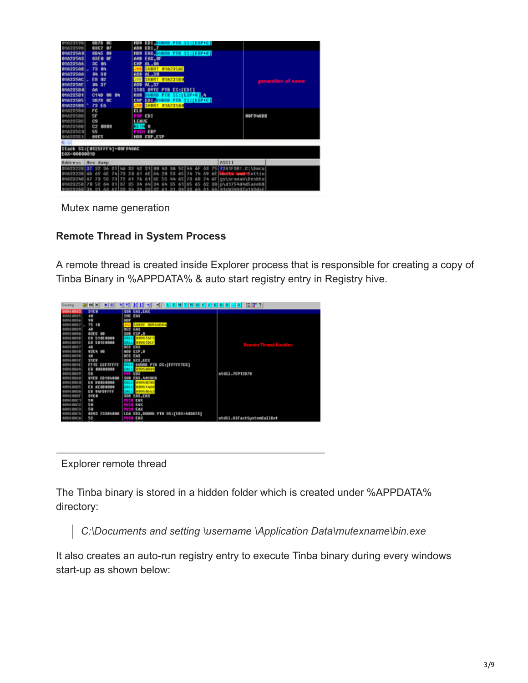| 01623598<br>8870<br>œ<br>0162359D<br>83C7<br>87                      | <b>HOT DUORD PIR SS:[EBP+C]</b><br>EDI.7<br>ADD                                                                                        |                    |
|----------------------------------------------------------------------|----------------------------------------------------------------------------------------------------------------------------------------|--------------------|
| <b>81623568</b><br>8845<br>- 69<br><b>81623563</b><br><b>BSE0 0F</b> | <b>EAX, DVORD PTR SS: [EBP+8]</b><br><b>190U</b><br>AND<br>EAX, OF                                                                     |                    |
| <b>01623566</b><br><b>3C BA</b>                                      | <b>AL.0A</b><br><b>CHP</b>                                                                                                             |                    |
| <b>01623568</b><br>73 84<br>81623566<br>84 38                        | <b>SHORT 01A235AE</b><br><b>JNB</b><br>AL, 38<br>ADD                                                                                   |                    |
| <b>0102356C</b><br><b>EB 02</b>                                      | SHORT 01823580<br><b>JIMP</b>                                                                                                          | ceneration of name |
| 016235AE<br>84 37<br><b>016235B0</b><br>ΛĤ                           | ADD AL.37<br>STOS BYTE PTR ES:[EDI]                                                                                                    |                    |
| 01023581<br>C1AD 08 84                                               | DWORD PTR SS:[EBP+8] 1<br>ROR                                                                                                          |                    |
| 01023585<br>3870 OC<br>01023588<br>73 E6                             | CMP EDIMONORD PTR SS:[EBP+C]<br><b>SHORT 01023500</b><br><b>JNB</b>                                                                    |                    |
| 01023580<br>FC<br>010235BB<br>SF                                     | <b>CLD</b><br>POP EDI                                                                                                                  | 00F9480B           |
| 010235BC<br>C9                                                       | <b>LEAVE</b>                                                                                                                           |                    |
| 010235BD<br>C <sub>2</sub><br>08:00<br>010235C0<br>55                | <b>RETN<sub>8</sub></b><br><b>PUSH EBP</b>                                                                                             |                    |
| 010235C1<br><b>89E5</b>                                              | HOU EBP, ESP                                                                                                                           |                    |
| Stack SS:[0125FFF4]-00F948AC                                         |                                                                                                                                        |                    |
| EAX=0000001B                                                         |                                                                                                                                        |                    |
| Address<br>Hex dunp                                                  | ASCII                                                                                                                                  |                    |
| 36 31 46<br>92<br>0102322R<br>52.52<br>0102323B 60                   | 75 7261F381.C:\Docu<br>3100<br>30 <sub>0</sub><br>h2<br>h2<br><b>SCI 44</b><br>63<br>neats and Settin<br>64<br>53<br>65 74<br>69<br>6E |                    |
| 0162324B<br>67<br>73                                                 | 61 6E<br>gs\srawan\Deskto<br>56<br>44<br>65 73<br>6F<br>76<br>各田<br>74                                                                 |                    |
| 0102325B170 5C<br>64<br>1137<br>35<br>01023268 3h                    | 61 65 65 62 38 pld1754d4d5aeeb8<br>64 34 64 35<br>31 <sub>0</sub><br>56 h1ch3hh32a1h3da4<br>99199<br>$45 - 1$                          |                    |

Mutex name generation

#### **Remote Thread in System Process**

A remote thread is created inside Explorer process that is responsible for creating a copy of Tinba Binary in %APPDATA% & auto start registry entry in Registry hive.

| <b>Flunning</b>      | 44 X<br>▶Ⅲ                     | нŧ                                | 目甲?                       |
|----------------------|--------------------------------|-----------------------------------|---------------------------|
| 8006883              | 3100                           | <b>XOR EAX, EAX</b>               |                           |
| 8096 0885            | A6                             | <b>INC EAX</b>                    |                           |
| 38853091             | ÷                              | <b>NOP</b>                        |                           |
| 1880 599             | 75 18                          | 00960884<br><b>SORE</b>           |                           |
| 10960889             | 48                             | DEC<br>EAX                        |                           |
| 996 0888             | <b>SOEC 08</b>                 | SUB ESP.B                         |                           |
| 0888399              | EB 510E0000                    | CALL<br>10941073                  |                           |
| 1056 0892            | <b>EB 58158008</b>             | 189610EF<br>CALL                  |                           |
| 0960897              | 48                             | <b>DEC EAX</b>                    |                           |
| 10960898             | 83C4 88                        | abb ESP.8                         |                           |
| 10960898<br>10968890 | 48<br>3109                     | DEC EAX<br>XOR ECX, ECX           |                           |
| 1005610              | FF15 ECF7FFFF                  | DUORD PTR DS:[FFFFF7EC]<br>CALL   |                           |
| 10060804             | 0000000<br>E9                  | EALL<br>11895-8939                |                           |
| 99886989             | 58                             | EBX                               | mtd11.70912078            |
| 10968808             | C0184000<br><b>81EB</b>        | SUB EBX, NO18CD                   |                           |
| 0388.00              | 08030000<br>EB                 | CALL<br>12952030                  |                           |
| 0960885              | <b><i>AE 080000</i></b><br>ER. | 02951958<br>GALE                  |                           |
| 10960888             | EB SAFDFFFF                    | 08958613<br>EALL                  |                           |
| 1096050F             | 3108                           | <b>XOR EAXYEAX</b>                |                           |
| 10968801             | 58                             | USH EAK                           |                           |
| 1006-0802            | 58                             | <b>PUSH EAK</b>                   |                           |
| NHV688C3             | SB                             | <b>PUSH EAX</b>                   |                           |
| 10960801             | 8093 73384888                  | LEA EDX,DUORD PTR DS:[EBX+A03073] |                           |
| 109608CA             | 52                             | <b>PUSH EDX</b>                   | mtdll.KiFastSustemCallRet |

Explorer remote thread

The Tinba binary is stored in a hidden folder which is created under %APPDATA% directory:

 *C:\Documents and setting \username \Application Data\mutexname\bin.exe*

It also creates an auto-run registry entry to execute Tinba binary during every windows start-up as shown below: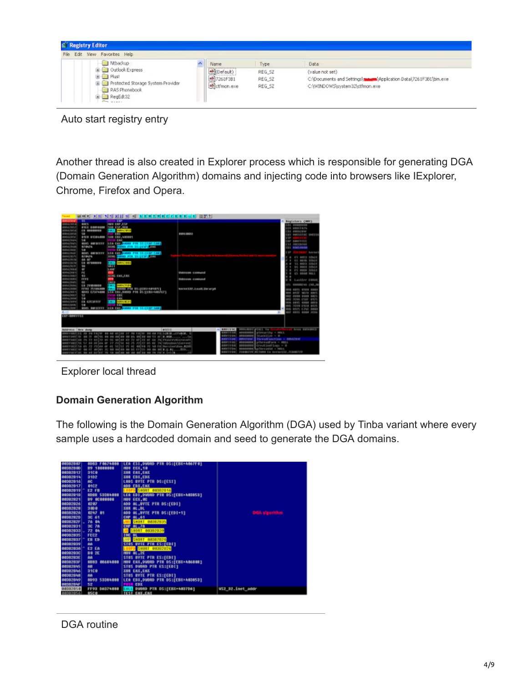

Auto start registry entry

Another thread is also created in Explorer process which is responsible for generating DGA (Domain Generation Algorithm) domains and injecting code into browsers like IExplorer, Chrome, Firefox and Opera.

| فسنعت                     |                                       |                                      | 문학자 전파 일상 최대 최 그 지지원자에서 이사자에서 사장 없었어                              |                        |                           |                          |                                                                  |        |                               |                         |
|---------------------------|---------------------------------------|--------------------------------------|-------------------------------------------------------------------|------------------------|---------------------------|--------------------------|------------------------------------------------------------------|--------|-------------------------------|-------------------------|
| <b><i>ARRAMENT</i></b>    | द्रद्र                                | $-189$                               |                                                                   |                        |                           |                          |                                                                  |        | Begisters (NG)                |                         |
| 00321959                  | 8915                                  | <b>HER ESPECTA</b>                   |                                                                   |                        |                           |                          |                                                                  |        | AL ODDERED                    |                         |
| <b>BEAUTIFUL</b>          | <b>SYLC BOWEROM</b>                   | <b>SOR ESP, NOR</b>                  |                                                                   |                        |                           |                          |                                                                  |        | CE BRIEFERTS                  |                         |
| NAIVO                     | <b>CO GOODGOOD</b>                    | <b>Card Edition Ferrit</b>           |                                                                   |                        |                           |                          |                                                                  |        | <b>DX BUVE/BW</b>             |                         |
| 4642918                   | ŝ                                     | <b>TERRA</b>                         |                                                                   | 020120803              |                           |                          |                                                                  |        |                               | BY BRIGGING SMECHA      |
| BRAZWIZ                   | SYLD STORAGE                          | SUB CRX ABORE                        |                                                                   |                        |                           |                          |                                                                  |        |                               |                         |
| 00429456                  | C                                     | <b>USE ALC</b>                       |                                                                   |                        |                           |                          |                                                                  |        | <b>BP BRIVITIC</b>            |                         |
| 004/1945                  | <b>NORTH ORIGINALS</b>                |                                      | <b>AEA CAY, your Pik SSTEEP-Seed</b>                              |                        |                           |                          |                                                                  |        | <b>St PRECEPAS</b>            |                         |
| 8042948                   | 878679                                | <b>SHIP CARDO FOR SSIELSFIELDS</b>   |                                                                   |                        |                           |                          |                                                                  |        | <b>COL BRASBERR</b>           |                         |
| 12012-002<br>49643942     | Ç                                     | <b>TERR</b>                          | <b>SEE END DOES FOR SSIERPISHED</b>                               |                        |                           |                          |                                                                  | E      |                               | <b>Banchine D</b>       |
| 80434.75                  | <b>BOATL BAKBEEFEE</b>                |                                      |                                                                   |                        |                           |                          |                                                                  |        |                               |                         |
| <b>BRAINETS</b>           | 878674<br>68.87                       | <b>SEED DATES PER SSIERS SEED</b>    |                                                                   |                        |                           |                          |                                                                  | $\sim$ |                               | ES 0003 30515           |
| 8942976                   | <b>ES AFEBREES</b>                    | <b>Cast developed</b>                |                                                                   |                        |                           |                          |                                                                  |        |                               | C1 4440 STNIY           |
| <b>BRAZR7</b>             | ÷                                     | <b>STATE</b>                         |                                                                   |                        |                           |                          |                                                                  |        |                               | 15 8023 32bit           |
| 0562094                   | $\overline{\phantom{a}}$              | Lost                                 |                                                                   |                        |                           |                          |                                                                  |        |                               | BS MARIN SOLLS          |
| <b>PRACTER</b> 1          | m                                     |                                      |                                                                   |                        | <b>Enknown connend</b>    |                          |                                                                  |        |                               | <b>PS 0039 30511</b>    |
| <b>BILAJUKI</b>           | 93                                    | SCHC EAK, EBK                        |                                                                   |                        |                           |                          |                                                                  |        | <b>CS @DOD NELL</b>           |                         |
| 004/2931                  | <b>EFITE</b>                          |                                      |                                                                   |                        | <b>Elaborato consulta</b> |                          |                                                                  |        | 8 Lautfror EBROS              |                         |
| 464,7645                  | <b>CK</b>                             | <b>THEFT</b>                         |                                                                   |                        |                           |                          |                                                                  |        |                               |                         |
| 10042934                  | EX 7900-0004                          | <b><i>REGISTER</i></b><br><b>COL</b> |                                                                   |                        |                           |                          |                                                                  |        |                               | <b>BENGEVAL (10), N</b> |
| 0042948                   | <b>EFSS PLIANING</b>                  |                                      | <b>STATE SWORD PER OSSEKUTORINING</b>                             |                        | keyee130.LoadLibrary&     |                          |                                                                  |        | <b>10 8015 0108 0088</b>      |                         |
| <b>PROVIDE</b>            | <b>MIVIL CZ3ZNAM</b>                  |                                      | LEA EBX, DURING PTR US (EERX-NAULE)                               |                        |                           |                          |                                                                  |        | <b>BAIL</b>                   | 4911<br>99.74           |
| 8062997                   | c                                     | 12,000                               |                                                                   |                        |                           |                          |                                                                  |        | <b><i>Alberta</i></b> Alberta | 8807                    |
| 804-2499                  | <b>SA</b>                             | <b>KWK</b>                           |                                                                   |                        |                           |                          |                                                                  |        | <b>NEWS IT SURE</b>           | 87775                   |
| 0543999                   | <b>EN COUNTRY</b>                     | <b><i>A DON BOAT</i></b><br>$-1$     |                                                                   |                        |                           |                          |                                                                  |        | ages.<br><b>Grand</b>         | 1011                    |
| 8043910                   | ta.                                   |                                      |                                                                   |                        |                           |                          |                                                                  |        | 1010 8924                     | 8/175                   |
| <b>MACRES</b>             | <b>BOAS BAFCIFFE</b>                  |                                      | <b>Sin car beam Fox Street and</b>                                |                        |                           |                          |                                                                  | show.  | <b>WATEL EXIGE</b>            | 2023                    |
|                           |                                       |                                      |                                                                   |                        |                           |                          |                                                                  |        | NUT BOIS DEDG JOVA            |                         |
| <b>EXPERIENCE</b>         |                                       |                                      |                                                                   |                        |                           |                          |                                                                  |        |                               |                         |
|                           |                                       |                                      |                                                                   |                        |                           |                          |                                                                  |        |                               |                         |
|                           |                                       |                                      |                                                                   |                        |                           |                          |                                                                  |        |                               |                         |
|                           |                                       |                                      |                                                                   |                        |                           |                          |                                                                  |        |                               |                         |
| <b>Interview Bry dong</b> |                                       |                                      |                                                                   | <b>ASEEE</b>           |                           | $\wedge$ [ BESTIFSE]     | percents posts to                                                |        | Area Biricalco                |                         |
|                           | <b>BOFFBETIEC 20 99 FAINT OR SEAT</b> |                                      |                                                                   | <b>CALL ATTACHED</b>   |                           | <b>BANELEAR</b>          | plecurity - MMC1<br>possono                                      |        |                               |                         |
| NUEBRO                    |                                       | 18.99<br><b>COL</b>                  |                                                                   |                        |                           | <b>BRIVE II FIRM</b>     | SEACHTLINE = 0<br>80022002                                       |        |                               |                         |
| <b>MEET BACK</b>          | 49.75<br>22,407<br>12                 | <b>SIC</b><br>42<br>41.91<br>83 73   | 481<br>22.47                                                      | FloorerUSLcrecoft      |                           | <b><i>REST CERR</i></b>  | <b>Phreadlend San - 00062946</b><br><b>Willens</b> or final bush |        |                               |                         |
| 0001483                   | <b>ALL</b><br>did 1                   |                                      | P.P.                                                              | <b>Mindson/Corrent</b> |                           | <b>BRIDE &amp; E WAY</b> | clare art are - max<br>89808004                                  |        |                               |                         |
| NIFER                     |                                       |                                      |                                                                   | FB Beruisvillen, \$159 |                           | <b>BENT I FIRE</b>       | CreutiseFlien = 0<br><b>BREIGEN</b>                              |        |                               |                         |
|                           |                                       |                                      | annrazcion se ri aviat lo se solos so oc critti so os solo.g.cUtt |                        |                           | dealers of all done.     | exempts afterned - NGLL                                          |        |                               |                         |
|                           |                                       |                                      | amorestint me no notice to se nation on no polos on on rails.i.la |                        |                           | ager y pipe              | PERMATZA RETURN to KernelSZ_POUMPZS                              |        |                               |                         |

Explorer local thread

#### **Domain Generation Algorithm**

The following is the Domain Generation Algorithm (DGA) used by Tinba variant where every sample uses a hardcoded domain and seed to generate the DGA domains.

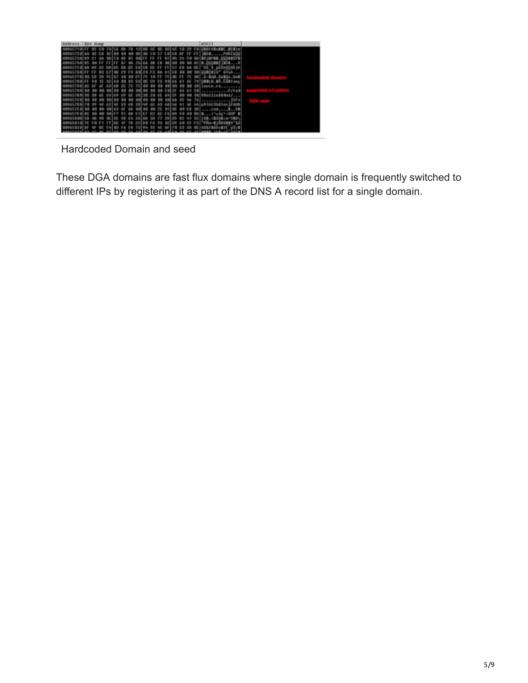| <b>Address</b><br><b>Hex dunp</b> |                                                                                                              | ASC11                           |
|-----------------------------------|--------------------------------------------------------------------------------------------------------------|---------------------------------|
|                                   | <b>78 56</b><br>78<br>13 88 45 6C 03 45<br>R:D                                                               | <b>FRIDAYURINE</b>              |
| 00965720 60<br>G2<br>EB           | 00 00 00 50 57 E8 CB<br><b>DIE</b><br>02100<br>(8.97)<br>EE.                                                 | <b>FFITEM</b>                   |
| 89<br>00965718                    | <b>GB</b> SO BD 85 GB FF FF FF 87 BN<br>2.0<br>5.8                                                           | so aniverse.<br><b>HELLISPE</b> |
| 00065788<br>85<br>EE              | 20150<br>pal an<br><b>Million</b><br><b>BR</b><br>87<br>EB<br>dh Et<br><b>Shift</b><br>$-051$<br><b>DOM:</b> | a.GUURASjaba                    |
| 00065758<br>02 88 05              | FE S7 E8<br>EBISB DE<br>68<br><b>ED</b><br>05<br>新闻                                                          | BE TOP<br>V unXbuyWyp           |
| FF<br>68<br>93<br>00065768        | l ce<br>E9<br>80 28 53<br>C71 00<br>29<br>1919<br>distri<br>0.O                                              | on Uumcaja*                     |
| ee<br>00065778<br>SR<br>2D        | 10 FF 75 ac FF<br>80 FF 75<br><b>All P</b><br><b>05 67 58</b>                                                | Bob. uptui, look-X, 198         |
| FF 98<br>00065788<br>9E           | 98 66<br>93<br>cal ac<br><b>TD</b><br>61<br>65<br>co<br>99<br>ACI AB                                         | 70 UBBLG<br>.u8.C58Fanyl        |
| 00065798<br>65<br>6F<br>68        | 72<br>7500<br>B <sub>B</sub><br>00<br>68<br>63168<br>25 <sup>o</sup><br>89<br>co.                            | 08 loock.ru                     |
| 00965788                          | 00 00 50 2F 66 61 30<br>aal aa<br><b>DO</b>                                                                  | $P / F$ a0                      |
| 009657R8                          | <b>GE GA 25</b><br>65 99 39<br>60160<br>69<br>39                                                             | 00 00 00 SEniiin880md/          |
| 00<br>00965708                    | 00 00 00 60 35 46 76 15Fv<br>oal oo<br><b>DIS</b><br>68 80<br>1212                                           |                                 |
| 00065700                          | 22 52<br>60 a6<br>381w<br>luE<br>6.91<br><b>AF</b><br>62 MG<br>Pa. 11                                        | 44 p91bE2h81nc1FAND             |
| 00965768<br>nn                    | eslac<br>60<br>6F<br>gel ee<br><b>00 EX</b><br>00143<br>2 <sub>C</sub><br>oo                                 | ES COM                          |
| 009657F8<br><b>RC</b>             | 自我<br><b>BBIF7</b><br>FAIRS<br>E1 E2 B2 AC                                                                   | 50 80 80 8 + * $5e^{t} - 30P$ 8 |
| 00965200<br>SH                    | 77 20 35<br>$EC$   $20$<br>E.B.<br>$26$ $ $ 84<br>営学<br>98<br>38<br>A-1                                      | SC FRB. CREAR TO-5000           |
| 00965818<br>75                    | 02129<br><b>CSIDB F6</b><br>77100<br>香精<br>女子<br>70<br>95<br>0 <sup>o</sup>                                  | F3 -FW+1300899 50               |
|                                   | 7319A<br>F.B                                                                                                 | <b>AF ABATBOOSETE DATE</b>      |
|                                   |                                                                                                              |                                 |

Hardcoded Domain and seed

These DGA domains are fast flux domains where single domain is frequently switched to different IPs by registering it as part of the DNS A record list for a single domain.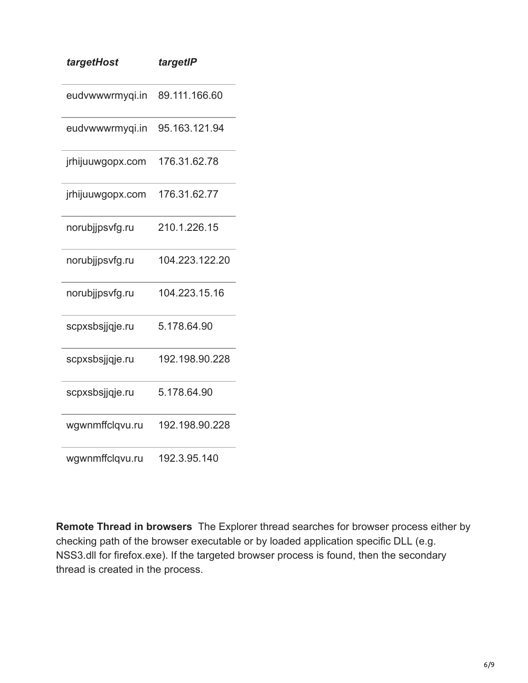| targetHost       | targetIP       |
|------------------|----------------|
| eudvwwwrmyqi.in  | 89.111.166.60  |
| eudvwwwrmyqi.in  | 95.163.121.94  |
| jrhijuuwgopx.com | 176.31.62.78   |
| jrhijuuwgopx.com | 176.31.62.77   |
| norubjjpsvfg.ru  | 210.1.226.15   |
| norubjjpsvfg.ru  | 104.223.122.20 |
| norubjjpsvfg.ru  | 104.223.15.16  |
| scpxsbsjjqje.ru  | 5.178.64.90    |
| scpxsbsjjqje.ru  | 192.198.90.228 |
| scpxsbsjjqje.ru  | 5.178.64.90    |
| wgwnmffclqvu.ru  | 192.198.90.228 |
| wgwnmffclqvu.ru  | 192.3.95.140   |

**Remote Thread in browsers** The Explorer thread searches for browser process either by checking path of the browser executable or by loaded application specific DLL (e.g. NSS3.dll for firefox.exe). If the targeted browser process is found, then the secondary thread is created in the process.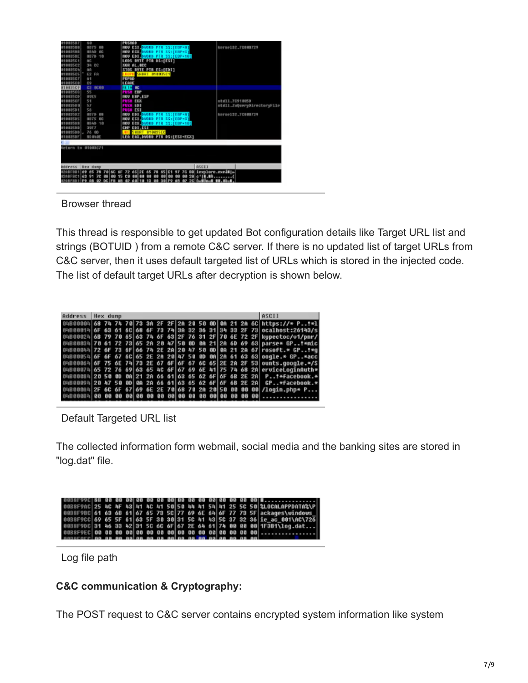| 6.0<br>13557<br>11003588<br>8875<br><b>CUS</b><br>11003588<br>8840<br>œ<br>010035BE<br>8879 18<br>11003501<br>nc<br>38 CC<br>11003502<br><b>HBB35C4</b><br>自白<br>E2 FB<br>01003505<br>11003507<br>61<br>C9<br>183508<br>8088<br>E2<br><b>BB35C9</b><br>55<br>1003500<br>11083500<br><b>89E5</b><br>51<br>010035CF<br>57<br>01003500<br>56<br>01003501<br>1003503<br>8870<br>89<br>1003505<br>8875<br><b>DO</b><br>11003503<br>8940 18<br>01002500<br>39F7<br>010035bb<br>76 80<br>010035DF<br>80 BV/8E | PUSHAD<br><b>BOU BSI DVORD PTH SSIFFROM I</b><br>NOU<br><b>RELEVATE PTR</b><br>SS:TEBP+C1<br><b>NOU</b><br><b>EDI DVORD PIR SS:[EBP+10]</b><br><b>BYTE PTR DSI(ESI)</b><br><b>LODS:</b><br>XOR<br>AL.OCC<br>STOS BYTE PTR ES:[EDI]<br>SHORT DIDDISCI<br>POPAO<br>LEAVE<br><b>THE OC</b><br><b>TERP</b><br><b>NOU EBP.ESP</b><br>ECX<br>ED1<br>en su<br><b>EST</b><br>20<br><b>MOILDIMORD PTR</b><br>55:[EBP+8]<br>NDU<br><b>BALLOUGH PTR</b><br>SS:FERP+01<br>MDU<br><b>NOR DUORD PIR SS:[EDP+10]</b><br><b>NOU</b><br>EDT. EST<br>CHP<br>SHORT B1083SEC<br>LEA EAX, DWORD PTR DS:[ESI+ECX] | kerne132.70808729<br>ntd11.7C910050<br>ntdll.ZuQueryDirectoryFile<br>kerne132.70808729 |
|--------------------------------------------------------------------------------------------------------------------------------------------------------------------------------------------------------------------------------------------------------------------------------------------------------------------------------------------------------------------------------------------------------------------------------------------------------------------------------------------------------|---------------------------------------------------------------------------------------------------------------------------------------------------------------------------------------------------------------------------------------------------------------------------------------------------------------------------------------------------------------------------------------------------------------------------------------------------------------------------------------------------------------------------------------------------------------------------------------------|----------------------------------------------------------------------------------------|
|                                                                                                                                                                                                                                                                                                                                                                                                                                                                                                        |                                                                                                                                                                                                                                                                                                                                                                                                                                                                                                                                                                                             |                                                                                        |
| leturn to 01003C71                                                                                                                                                                                                                                                                                                                                                                                                                                                                                     |                                                                                                                                                                                                                                                                                                                                                                                                                                                                                                                                                                                             |                                                                                        |
|                                                                                                                                                                                                                                                                                                                                                                                                                                                                                                        |                                                                                                                                                                                                                                                                                                                                                                                                                                                                                                                                                                                             |                                                                                        |
| <b>Address</b><br><b>Hex</b> dump                                                                                                                                                                                                                                                                                                                                                                                                                                                                      | <b>ASCII</b>                                                                                                                                                                                                                                                                                                                                                                                                                                                                                                                                                                                |                                                                                        |
| 69 65 78 78 60<br>12081981<br>W                                                                                                                                                                                                                                                                                                                                                                                                                                                                        | 00 iexplore.excimin<br>70<br>97<br>65   2E<br>651<br>m                                                                                                                                                                                                                                                                                                                                                                                                                                                                                                                                      |                                                                                        |
| E20BFBC1<br>63 91 70<br>60<br>15<br>85GRFSD1                                                                                                                                                                                                                                                                                                                                                                                                                                                           | 28 c'ill.la<br>сø<br><b>DOM:</b>                                                                                                                                                                                                                                                                                                                                                                                                                                                                                                                                                            |                                                                                        |
|                                                                                                                                                                                                                                                                                                                                                                                                                                                                                                        |                                                                                                                                                                                                                                                                                                                                                                                                                                                                                                                                                                                             |                                                                                        |

Browser thread

This thread is responsible to get updated Bot configuration details like Target URL list and strings (BOTUID ) from a remote C&C server. If there is no updated list of target URLs from C&C server, then it uses default targeted list of URLs which is stored in the injected code. The list of default target URLs after decryption is shown below.

| Address Hex dunp |  |  |  |  |  |  |  |  | ASCII                                                                      |
|------------------|--|--|--|--|--|--|--|--|----------------------------------------------------------------------------|
|                  |  |  |  |  |  |  |  |  | 04800004 68 74 74 70 73 30 2F 2F 20 20 50 00 00 21 20 6C https://* P!*1    |
|                  |  |  |  |  |  |  |  |  | 04800014 6F 63 61 6C 68 6F 73 74 3A 32 36 31 34 33 2F 73 ocalhost:26143/s  |
|                  |  |  |  |  |  |  |  |  | 04800024 6B 79 70 65 63 74 6F 63 2F 76 31 2F 70 6E 72 2F kupectoc/u1/pnr/  |
|                  |  |  |  |  |  |  |  |  | 04800034 70 61 72 73 65 2A 20 47 50 0D 0A 21 2A 6D 69 63 parse* GPt*nic    |
|                  |  |  |  |  |  |  |  |  | 0480004472 6F 73 6F 66 74 2E 2A 20 47 50 8D 0A 21 2A 67 rosoft.* GP!*0     |
|                  |  |  |  |  |  |  |  |  | 04800054 6F 6F 67 6C 65 2E 2A 20 47 50 0D 0A 2A 61 63 63 00qle.* GP*acc    |
|                  |  |  |  |  |  |  |  |  | 04800064 6F 75 6E 74 73 2E 67 6F 6F 67 6C 65 2E 2A 2F 53 ounts.google.*/\$ |
|                  |  |  |  |  |  |  |  |  | 04800074 65 72 76 69 63 65 40 6F 67 69 6E 41 75 74 68 2A erviceLoginAuth*  |
|                  |  |  |  |  |  |  |  |  | 0480008420 50 00 00 21 2A 66 61 63 65 62 6F 6F 6B 2E 2A P. T*Facebook.*    |
|                  |  |  |  |  |  |  |  |  | 0480009420 47 50 00 00 20 66 61 63 65 62 6F 6F 6B 2E 2A GP*facebook.*      |
|                  |  |  |  |  |  |  |  |  | $04800004$ 2F 6C 6F 67 69 6E 2E 70 68 70 2A 20 50 00 00 00 /loqin.php* P   |
|                  |  |  |  |  |  |  |  |  |                                                                            |

Default Targeted URL list

The collected information form webmail, social media and the banking sites are stored in "log.dat" file.

|                                                             |  |  |  |  |  |  |  |  | 0088F9AC 25 AC 4F 43 41 AC 41 50 50 44 41 54 41 25 50 50 210CALAPPDATA2\P |
|-------------------------------------------------------------|--|--|--|--|--|--|--|--|---------------------------------------------------------------------------|
|                                                             |  |  |  |  |  |  |  |  | 00B8F9BC 61 63 6B 61 67 65 73 5C 77 69 6E 64 6F 77 73 5F ackages\uindows  |
|                                                             |  |  |  |  |  |  |  |  | 00B8F9CC 69 65 5F 61 63 5F 30 30 31 5C 41 43 5C 37 32 36 ie ac 001\AC\726 |
|                                                             |  |  |  |  |  |  |  |  | 00B8F9DC 31 46 33 42 31 5C 6C 6F 67 2E 64 61 74 00 00 00 1F3B1\log.dat    |
|                                                             |  |  |  |  |  |  |  |  |                                                                           |
| ssoccerina sa sa sains sa sa sains sa sa saiss sa sa sa sal |  |  |  |  |  |  |  |  |                                                                           |

Log file path

### **C&C communication & Cryptography:**

The POST request to C&C server contains encrypted system information like system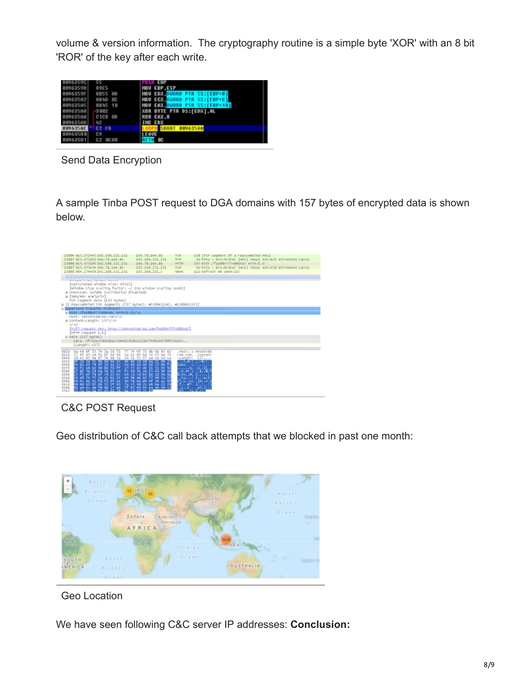volume & version information. The cryptography routine is a simple byte 'XOR' with an 8 bit 'ROR' of the key after each write.

|                 | 55                               | PUSH EBP                            |
|-----------------|----------------------------------|-------------------------------------|
| 0096359D        | 89E5                             | <b>MOU EBP.ESP</b>                  |
| 0096359F        | 8855 88                          | MOU EDX DVORD PTR SS:[EBP+8]        |
| 009635A2        | 8B4D BC                          | <b>NOU EGX.DWORD PTR SS:[EBP+C]</b> |
| 00963505        | 8845 10                          | MOU EAX DUORD PTR SS:[EBP+10]       |
| 009635A8        | 3002                             | XOR BYTE PTR DS:[EDX].AL            |
| 88963500        | C <sub>1</sub> C <sub>8</sub> 08 | ROR EAX.8                           |
| 009635AD        | 42                               | <b>INC EDX</b>                      |
| <b>009635AE</b> | <b>E2 F8</b>                     | <b>SHORT 009635A8</b>               |
| 90963588        | C9                               | LEAVE                               |
| 00963581        | C2 0C00                          | œ                                   |

Send Data Encryption

A sample Tinba POST request to DGA domains with 157 bytes of encrypted data is shown below.



C&C POST Request

Geo distribution of C&C call back attempts that we blocked in past one month:



Geo Location

We have seen following C&C server IP addresses: **Conclusion:**